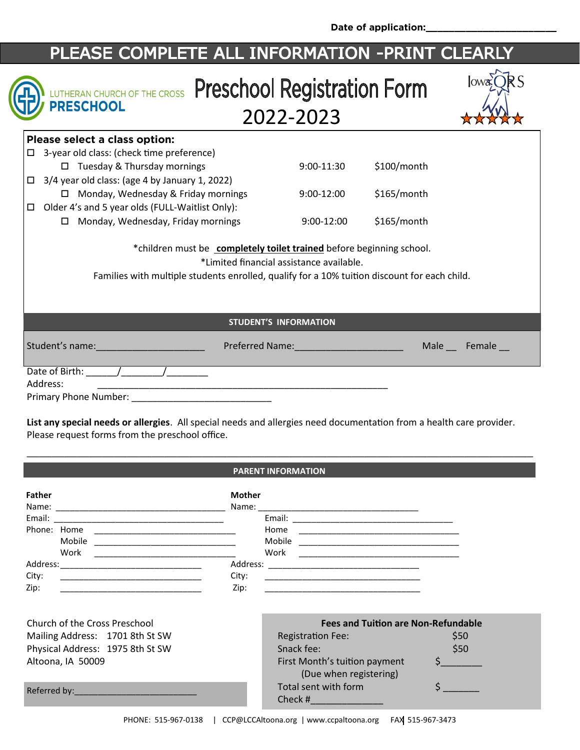**Date of application:\_\_\_\_\_\_\_\_\_\_\_\_\_\_\_\_\_\_\_\_\_\_\_**

# PLEASE COMPLETE ALL INFORMATION -PRINT CLEARLY

## IN LUTHERAN CHURCH OF THE CROSS Preschool Registration Form **/ PRESCHOOL** 2022-2023

| lowx |  |
|------|--|
| 7    |  |

| $$100/m$ onth |
|---------------|
|               |
| $$165/m$ onth |
|               |
| $$165/m$ onth |
|               |

\*children must be **completely toilet trained** before beginning school.

\*Limited financial assistance available.

Families with multiple students enrolled, qualify for a 10% tuition discount for each child.

**STUDENT'S INFORMATION**

|  |  |  | Student's name: |
|--|--|--|-----------------|
|--|--|--|-----------------|

Preferred Name: \_\_\_\_\_\_\_\_\_\_\_\_\_\_\_\_\_\_\_\_\_\_\_\_\_\_\_\_\_\_\_\_\_ Male \_\_\_ Female \_\_

| Date of Birth:        |  |
|-----------------------|--|
| Address:              |  |
| Primary Phone Number: |  |

**List any special needs or allergies**. All special needs and allergies need documentation from a health care provider. Please request forms from the preschool office.

#### \_\_\_\_\_\_\_\_\_\_\_\_\_\_\_\_\_\_\_\_\_\_\_\_\_\_\_\_\_\_\_\_\_\_\_\_\_\_\_\_\_\_\_\_\_\_\_\_\_\_\_\_\_\_\_\_\_\_\_\_\_\_\_\_\_\_\_\_\_\_\_\_\_\_\_\_\_\_\_\_\_ **PARENT INFORMATION**

| <b>Father</b> |        | <b>Mother</b>                      |  |
|---------------|--------|------------------------------------|--|
|               |        |                                    |  |
| Phone: Home   |        | Home                               |  |
|               | Mobile | Mobile                             |  |
|               | Work   | Work                               |  |
| Address:      |        | Address: _________________________ |  |
| City:         |        | City:                              |  |
| Zip:          |        | Zip:                               |  |

| Church of the Cross Preschool    | <b>Fees and Tuition are Non-Refundable</b>              |      |
|----------------------------------|---------------------------------------------------------|------|
| Mailing Address: 1701 8th St SW  | <b>Registration Fee:</b>                                | \$50 |
| Physical Address: 1975 8th St SW | Snack fee:                                              | \$50 |
| Altoona, IA 50009                | First Month's tuition payment<br>(Due when registering) |      |
| Referred by: No. 1998            | Total sent with form<br>Check #                         |      |